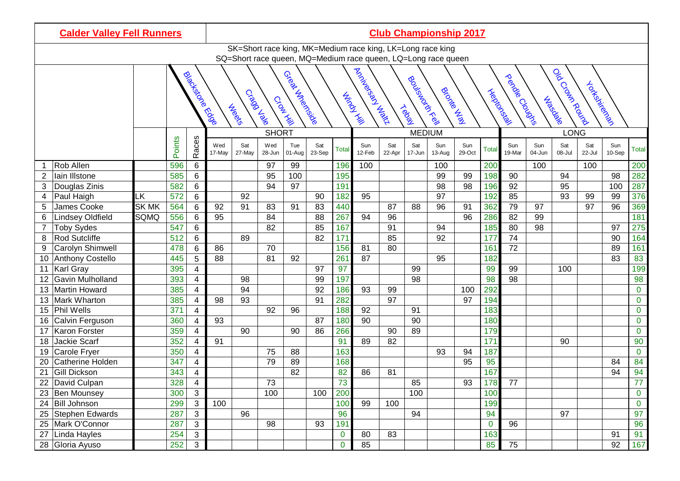| <b>Calder Valley Fell Runners</b> |                      |                                 |                                                                                                                                                                 |                         |               |                               |               |                                                            |               |              |                                                               |               |               | <b>Club Championship 2017</b> |                                                                    |              |               |               |               |               |               |                |  |
|-----------------------------------|----------------------|---------------------------------|-----------------------------------------------------------------------------------------------------------------------------------------------------------------|-------------------------|---------------|-------------------------------|---------------|------------------------------------------------------------|---------------|--------------|---------------------------------------------------------------|---------------|---------------|-------------------------------|--------------------------------------------------------------------|--------------|---------------|---------------|---------------|---------------|---------------|----------------|--|
|                                   |                      |                                 |                                                                                                                                                                 |                         |               |                               |               | SK=Short race king, MK=Medium race king, LK=Long race king |               |              |                                                               |               |               |                               |                                                                    |              |               |               |               |               |               |                |  |
|                                   |                      |                                 |                                                                                                                                                                 |                         |               |                               |               |                                                            |               |              | SQ=Short race queen, MQ=Medium race queen, LQ=Long race queen |               |               |                               |                                                                    |              |               |               |               |               |               |                |  |
|                                   |                      | <b>Biockstone</b><br>Biockstone | Alexandrial March<br>Great Street<br>Bookstocker<br>Brownship<br><b>Trepado</b><br>Creed Jabo<br><b>Mindship</b><br>Croak Hill<br><b>Algers</b><br><b>Tegal</b> |                         |               |                               |               |                                                            |               |              |                                                               |               |               |                               | i ob Crosk Round<br>perclassical clouds<br>Yokemiechen<br>Jubedale |              |               |               |               |               |               |                |  |
|                                   |                      |                                 |                                                                                                                                                                 |                         |               | <b>SHORT</b><br><b>MEDIUM</b> |               |                                                            |               |              |                                                               |               |               | <b>LONG</b>                   |                                                                    |              |               |               |               |               |               |                |  |
|                                   |                      |                                 | Points                                                                                                                                                          | Races                   | Wed<br>17-May | Sat<br>27-May                 | Wed<br>28-Jun | Tue<br>01-Aug                                              | Sat<br>23-Sep | <b>Total</b> | Sun<br>12-Feb                                                 | Sat<br>22-Apr | Sat<br>17-Jun | Sun<br>13-Aug                 | Sun<br>29-Oct                                                      | <b>Total</b> | Sun<br>19-Mar | Sun<br>04-Jun | Sat<br>08-Jul | Sat<br>22-Jul | Sun<br>10-Sep | <b>Total</b>   |  |
|                                   | Rob Allen            |                                 | 596                                                                                                                                                             | 6                       |               |                               | 97            | 99                                                         |               | 196          | 100                                                           |               |               | 100                           |                                                                    | 200          |               | 100           |               | 100           |               | 200            |  |
| 2                                 | lain Illstone        |                                 | 585                                                                                                                                                             | 6                       |               |                               | 95            | 100                                                        |               | 195          |                                                               |               |               | 99                            | 99                                                                 | 198          | 90            |               | 94            |               | 98            | 282            |  |
| 3                                 | Douglas Zinis        |                                 | 582                                                                                                                                                             | 6                       |               |                               | 94            | 97                                                         |               | 191          |                                                               |               |               | 98                            | 98                                                                 | 196          | 92            |               | 95            |               | 100           | 287            |  |
| 4                                 | Paul Haigh           | LK                              | 572                                                                                                                                                             | 6                       |               | 92                            |               |                                                            | 90            | 182          | 95                                                            |               |               | 97                            |                                                                    | 192          | 85            |               | 93            | 99            | 99            | 376            |  |
| 5                                 | James Cooke          | <b>SK MK</b>                    | 564                                                                                                                                                             | 6                       | 92            | 91                            | 83            | 91                                                         | 83            | 440          |                                                               | 87            | 88            | 96                            | 91                                                                 | 362          | 79            | 97            |               | 97            | 96            | 369            |  |
| 6                                 | Lindsey Oldfield     | SQMQ                            | 556                                                                                                                                                             | 6                       | 95            |                               | 84            |                                                            | 88            | 267          | 94                                                            | 96            |               |                               | 96                                                                 | 286          | 82            | 99            |               |               |               | 181            |  |
| 7                                 | <b>Toby Sydes</b>    |                                 | 547                                                                                                                                                             | 6                       |               |                               | 82            |                                                            | 85            | 167          |                                                               | 91            |               | 94                            |                                                                    | 185          | 80            | 98            |               |               | 97            | 275            |  |
| 8                                 | Rod Sutcliffe        |                                 | 512                                                                                                                                                             | 6                       |               | 89                            |               |                                                            | 82            | 171          |                                                               | 85            |               | 92                            |                                                                    | 177          | 74            |               |               |               | 90            | 164            |  |
| 9                                 | Carolyn Shimwell     |                                 | 478                                                                                                                                                             | 6                       | 86            |                               | 70            |                                                            |               | 156          | 81                                                            | 80            |               |                               |                                                                    | 161          | 72            |               |               |               | 89            | 161            |  |
| 10                                | Anthony Costello     |                                 | 445                                                                                                                                                             | 5                       | 88            |                               | 81            | 92                                                         |               | 261          | 87                                                            |               |               | 95                            |                                                                    | 182          |               |               |               |               | 83            | 83             |  |
| 11                                | Karl Gray            |                                 | 395                                                                                                                                                             | 4                       |               |                               |               |                                                            | 97            | 97           |                                                               |               | 99            |                               |                                                                    | 99           | 99            |               | 100           |               |               | 199            |  |
| 12                                | Gavin Mulholland     |                                 | 393                                                                                                                                                             | $\overline{4}$          |               | 98                            |               |                                                            | 99            | 197          |                                                               |               | 98            |                               |                                                                    | 98           | 98            |               |               |               |               | 98             |  |
| 13                                | <b>Martin Howard</b> |                                 | 385                                                                                                                                                             | $\overline{4}$          |               | 94                            |               |                                                            | 92            | 186          | 93                                                            | 99            |               |                               | 100                                                                | 292          |               |               |               |               |               | $\mathbf 0$    |  |
| 13                                | Mark Wharton         |                                 | 385                                                                                                                                                             | 4                       | 98            | 93                            |               |                                                            | 91            | 282          |                                                               | 97            |               |                               | 97                                                                 | 194          |               |               |               |               |               | $\mathbf 0$    |  |
| 15                                | <b>Phil Wells</b>    |                                 | 371                                                                                                                                                             | 4                       |               |                               | 92            | 96                                                         |               | 188          | 92                                                            |               | 91            |                               |                                                                    | 183          |               |               |               |               |               | $\mathbf 0$    |  |
| 16                                | Calvin Ferguson      |                                 | 360                                                                                                                                                             | 4                       | 93            |                               |               |                                                            | 87            | 180          | 90                                                            |               | 90            |                               |                                                                    | 180          |               |               |               |               |               | $\pmb{0}$      |  |
| 17                                | Karon Forster        |                                 | 359                                                                                                                                                             | $\overline{4}$          |               | 90                            |               | 90                                                         | 86            | 266          |                                                               | 90            | 89            |                               |                                                                    | 179          |               |               |               |               |               | $\overline{0}$ |  |
| 18                                | Jackie Scarf         |                                 | 352                                                                                                                                                             | 4                       | 91            |                               |               |                                                            |               | 91           | 89                                                            | 82            |               |                               |                                                                    | 171          |               |               | 90            |               |               | 90             |  |
| 19                                | Carole Fryer         |                                 | 350                                                                                                                                                             | $\overline{4}$          |               |                               | 75            | 88                                                         |               | 163          |                                                               |               |               | 93                            | 94                                                                 | 187          |               |               |               |               |               | $\mathbf{0}$   |  |
| 20                                | Catherine Holden     |                                 | 347                                                                                                                                                             | 4                       |               |                               | 79            | 89                                                         |               | 168          |                                                               |               |               |                               | 95                                                                 | 95           |               |               |               |               | 84            | 84             |  |
| 21                                | Gill Dickson         |                                 | 343                                                                                                                                                             | 4                       |               |                               |               | 82                                                         |               | 82           | 86                                                            | 81            |               |                               |                                                                    | 167          |               |               |               |               | 94            | 94             |  |
| 22                                | David Culpan         |                                 | 328                                                                                                                                                             | 4                       |               |                               | 73            |                                                            |               | 73           |                                                               |               | 85            |                               | 93                                                                 | 178          | 77            |               |               |               |               | 77             |  |
|                                   | 23 Ben Mounsey       |                                 | 300                                                                                                                                                             | $\mathbf{3}$            |               |                               | 100           |                                                            | 100           | 200          |                                                               |               | 100           |                               |                                                                    | 100          |               |               |               |               |               | $\overline{0}$ |  |
|                                   | 24 Bill Johnson      |                                 | 299                                                                                                                                                             | $\mathbf{3}$            | 100           |                               |               |                                                            |               | 100          | 99                                                            | 100           |               |                               |                                                                    | 199          |               |               |               |               |               | $\overline{0}$ |  |
|                                   | 25 Stephen Edwards   |                                 | 287                                                                                                                                                             | $\overline{\mathbf{3}}$ |               | 96                            |               |                                                            |               | 96           |                                                               |               | 94            |                               |                                                                    | 94           |               |               | 97            |               |               | 97             |  |
|                                   | 25 Mark O'Connor     |                                 | 287                                                                                                                                                             | $\mathbf{3}$            |               |                               | 98            |                                                            | 93            | 191          |                                                               |               |               |                               |                                                                    | $\mathbf{0}$ | 96            |               |               |               |               | 96             |  |
|                                   | 27 Linda Hayles      |                                 | 254                                                                                                                                                             | $\mathfrak{S}$          |               |                               |               |                                                            |               | $\mathbf 0$  | 80                                                            | 83            |               |                               |                                                                    | 163          |               |               |               |               | 91            | 91             |  |
|                                   | 28 Gloria Ayuso      |                                 | 252                                                                                                                                                             | $\overline{3}$          |               |                               |               |                                                            |               | $\mathbf 0$  | 85                                                            |               |               |                               |                                                                    | 85           | 75            |               |               |               | 92            | 167            |  |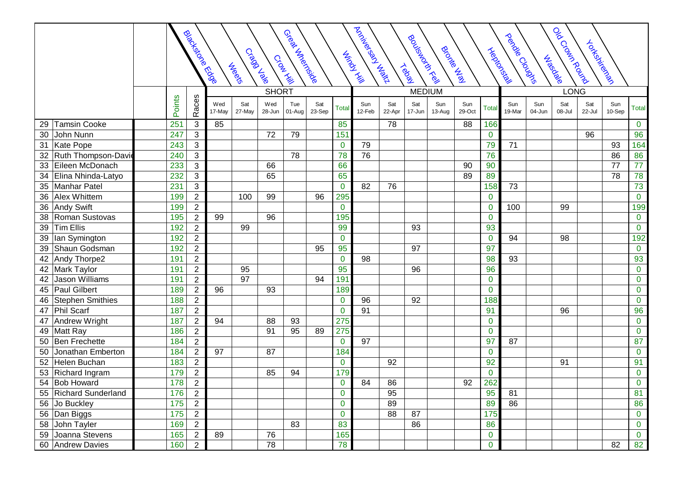|                             | Aricle Property of Prince<br>Great Street<br><b>Biocks</b> coe Ecole<br>Books KKR<br>Brockey<br>Cragalage<br>Minds R.<br>Croat Kill<br><b>Meeta</b><br><b>Tegal</b> |                |               |               |               |               |               |                |               |               |               |               |               |                | Ob Croan Rousial<br>pendolousian<br>Yokemiecker<br><b>Heldong</b><br>Jubedale |               |               |               |               |              |  |  |
|-----------------------------|---------------------------------------------------------------------------------------------------------------------------------------------------------------------|----------------|---------------|---------------|---------------|---------------|---------------|----------------|---------------|---------------|---------------|---------------|---------------|----------------|-------------------------------------------------------------------------------|---------------|---------------|---------------|---------------|--------------|--|--|
|                             |                                                                                                                                                                     |                |               | <b>SHORT</b>  |               |               |               |                |               |               |               | <b>MEDIUM</b> |               |                | <b>LONG</b>                                                                   |               |               |               |               |              |  |  |
|                             | Points                                                                                                                                                              | Races          | Wed<br>17-May | Sat<br>27-May | Wed<br>28-Jun | Tue<br>01-Aug | Sat<br>23-Sep | <b>Total</b>   | Sun<br>12-Feb | Sat<br>22-Apr | Sat<br>17-Jun | Sun<br>13-Aug | Sun<br>29-Oct | <b>Total</b>   | Sun<br>19-Mar                                                                 | Sun<br>04-Jun | Sat<br>08-Jul | Sat<br>22-Jul | Sun<br>10-Sep | <b>Total</b> |  |  |
| <b>Tamsin Cooke</b><br>29   | 251                                                                                                                                                                 | 3              | 85            |               |               |               |               | 85             |               | 78            |               |               | 88            | 166            |                                                                               |               |               |               |               | $\mathbf 0$  |  |  |
| John Nunn<br>30             | 247                                                                                                                                                                 | $\mathbf{3}$   |               |               | 72            | 79            |               | 151            |               |               |               |               |               | $\mathbf 0$    |                                                                               |               |               | 96            |               | 96           |  |  |
| Kate Pope<br>31             | 243                                                                                                                                                                 | $\mathbf{3}$   |               |               |               |               |               | $\mathbf 0$    | 79            |               |               |               |               | 79             | 71                                                                            |               |               |               | 93            | 164          |  |  |
| Ruth Thompson-Davi<br>32    | 240                                                                                                                                                                 | $\mathfrak{S}$ |               |               |               | 78            |               | 78             | 76            |               |               |               |               | 76             |                                                                               |               |               |               | 86            | 86           |  |  |
| 33<br>Eileen McDonach       | 233                                                                                                                                                                 | $\mathfrak{S}$ |               |               | 66            |               |               | 66             |               |               |               |               | 90            | 90             |                                                                               |               |               |               | 77            | 77           |  |  |
| Elina Nhinda-Latyo<br>34    | 232                                                                                                                                                                 | $\mathbf{3}$   |               |               | 65            |               |               | 65             |               |               |               |               | 89            | 89             |                                                                               |               |               |               | 78            | 78           |  |  |
| Manhar Patel<br>35          | 231                                                                                                                                                                 | $\mathbf{3}$   |               |               |               |               |               | $\mathbf{0}$   | 82            | 76            |               |               |               | 158            | 73                                                                            |               |               |               |               | 73           |  |  |
| Alex Whittem<br>36          | 199                                                                                                                                                                 | $\sqrt{2}$     |               | 100           | 99            |               | 96            | 295            |               |               |               |               |               | $\mathbf 0$    |                                                                               |               |               |               |               | $\bf{0}$     |  |  |
| Andy Swift<br>36            | 199                                                                                                                                                                 | $\sqrt{2}$     |               |               |               |               |               | $\mathbf 0$    |               |               |               |               |               | $\mathbf 0$    | 100                                                                           |               | 99            |               |               | 199          |  |  |
| Roman Sustovas<br>38        | 195                                                                                                                                                                 | $\overline{c}$ | 99            |               | 96            |               |               | 195            |               |               |               |               |               | $\mathbf 0$    |                                                                               |               |               |               |               | $\bf{0}$     |  |  |
| <b>Tim Ellis</b><br>39      | 192                                                                                                                                                                 | $\sqrt{2}$     |               | 99            |               |               |               | 99             |               |               | 93            |               |               | 93             |                                                                               |               |               |               |               | $\mathbf 0$  |  |  |
| lan Symington<br>39         | 192                                                                                                                                                                 | $\overline{2}$ |               |               |               |               |               | $\mathbf 0$    |               |               |               |               |               | $\overline{0}$ | 94                                                                            |               | 98            |               |               | 192          |  |  |
| Shaun Godsman<br>39         | 192                                                                                                                                                                 | $\sqrt{2}$     |               |               |               |               | 95            | 95             |               |               | 97            |               |               | 97             |                                                                               |               |               |               |               | $\mathbf 0$  |  |  |
| Andy Thorpe2<br>42          | 191                                                                                                                                                                 | $\overline{c}$ |               |               |               |               |               | $\mathbf 0$    | 98            |               |               |               |               | 98             | 93                                                                            |               |               |               |               | 93           |  |  |
| Mark Taylor<br>42           | 191                                                                                                                                                                 | $\overline{2}$ |               | 95            |               |               |               | 95             |               |               | 96            |               |               | 96             |                                                                               |               |               |               |               | $\mathbf 0$  |  |  |
| <b>Jason Williams</b><br>42 | 191                                                                                                                                                                 | $\overline{2}$ |               | 97            |               |               | 94            | 191            |               |               |               |               |               | $\mathbf 0$    |                                                                               |               |               |               |               | $\bf{0}$     |  |  |
| <b>Paul Gilbert</b><br>45   | 189                                                                                                                                                                 | $\sqrt{2}$     | 96            |               | 93            |               |               | 189            |               |               |               |               |               | $\mathbf 0$    |                                                                               |               |               |               |               | $\mathbf 0$  |  |  |
| Stephen Smithies<br>46      | 188                                                                                                                                                                 | $\overline{2}$ |               |               |               |               |               | $\mathbf 0$    | 96            |               | 92            |               |               | 188            |                                                                               |               |               |               |               | $\bf{0}$     |  |  |
| Phil Scarf<br>47            | 187                                                                                                                                                                 | 2              |               |               |               |               |               | $\mathbf{0}$   | 91            |               |               |               |               | 91             |                                                                               |               | 96            |               |               | 96           |  |  |
| Andrew Wright<br>47         | 187                                                                                                                                                                 | $\overline{c}$ | 94            |               | 88            | 93            |               | 275            |               |               |               |               |               | $\mathbf 0$    |                                                                               |               |               |               |               | $\mathbf 0$  |  |  |
| Matt Ray<br>49              | 186                                                                                                                                                                 | $\overline{2}$ |               |               | 91            | 95            | 89            | 275            |               |               |               |               |               | $\mathbf 0$    |                                                                               |               |               |               |               | $\mathbf 0$  |  |  |
| Ben Frechette<br>50         | 184                                                                                                                                                                 | $\sqrt{2}$     |               |               |               |               |               | $\mathbf 0$    | 97            |               |               |               |               | 97             | 87                                                                            |               |               |               |               | 87           |  |  |
| Jonathan Emberton<br>50     | 184                                                                                                                                                                 | $\sqrt{2}$     | 97            |               | 87            |               |               | 184            |               |               |               |               |               | $\mathbf 0$    |                                                                               |               |               |               |               | $\mathbf 0$  |  |  |
| Helen Buchan<br>52          | 183                                                                                                                                                                 | $\sqrt{2}$     |               |               |               |               |               | $\mathbf 0$    |               | 92            |               |               |               | 92             |                                                                               |               | 91            |               |               | 91           |  |  |
| Richard Ingram<br>53        | 179                                                                                                                                                                 | $\sqrt{2}$     |               |               | 85            | 94            |               | 179            |               |               |               |               |               | $\mathbf 0$    |                                                                               |               |               |               |               | $\bf{0}$     |  |  |
| 54 Bob Howard               | 178                                                                                                                                                                 | $\overline{2}$ |               |               |               |               |               | $\mathbf 0$    | 84            | 86            |               |               | 92            | 262            |                                                                               |               |               |               |               | $\mathbf 0$  |  |  |
| 55 Richard Sunderland       | 176                                                                                                                                                                 | $\overline{2}$ |               |               |               |               |               | $\mathbf 0$    |               | 95            |               |               |               | 95             | 81                                                                            |               |               |               |               | 81           |  |  |
| 56 Jo Buckley               | 175                                                                                                                                                                 | $\overline{2}$ |               |               |               |               |               | $\mathbf{0}$   |               | 89            |               |               |               | 89             | 86                                                                            |               |               |               |               | 86           |  |  |
| 56 Dan Biggs                | 175                                                                                                                                                                 | $\overline{2}$ |               |               |               |               |               | $\overline{0}$ |               | 88            | 87            |               |               | 175            |                                                                               |               |               |               |               | $\mathbf{0}$ |  |  |
| 58 John Tayler              | 169                                                                                                                                                                 | $\overline{2}$ |               |               |               | 83            |               | 83             |               |               | 86            |               |               | 86             |                                                                               |               |               |               |               | $\mathbf 0$  |  |  |
| 59 Joanna Stevens           | 165                                                                                                                                                                 | $\overline{2}$ | 89            |               | 76            |               |               | 165            |               |               |               |               |               | $\bf{0}$       |                                                                               |               |               |               |               | $\bf{0}$     |  |  |
| 60 Andrew Davies            | 160                                                                                                                                                                 | $\overline{2}$ |               |               | 78            |               |               | 78             |               |               |               |               |               | $\overline{0}$ |                                                                               |               |               |               | 82            | 82           |  |  |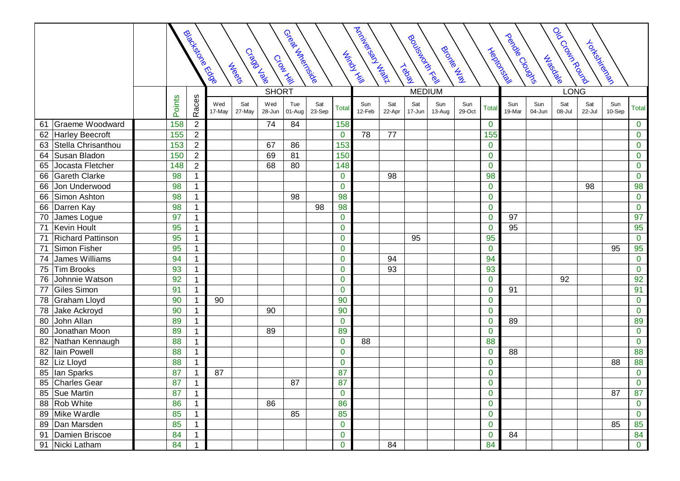|                                |        | <b>Biocks</b> coce Edde |               | Craga Jale<br><b>Neetc</b> |               | Great Street<br>Croat Time |               |                 | Activities of Julian Library<br>Oocounce Rousian<br>pec <sup>ododo</sup><br>Roution Kickell<br>Yokemiechen<br><b>Brocked</b><br><b>Heldong</b><br><b>Minds</b> Life<br>Jubedale<br><b>Tegal</b> |               |               |               |               |                |               |               |               |               |               |                |  |
|--------------------------------|--------|-------------------------|---------------|----------------------------|---------------|----------------------------|---------------|-----------------|-------------------------------------------------------------------------------------------------------------------------------------------------------------------------------------------------|---------------|---------------|---------------|---------------|----------------|---------------|---------------|---------------|---------------|---------------|----------------|--|
|                                |        | <b>SHORT</b>            |               |                            |               |                            |               |                 |                                                                                                                                                                                                 |               | <b>MEDIUM</b> |               |               | <b>LONG</b>    |               |               |               |               |               |                |  |
|                                | Points | Races                   | Wed<br>17-May | Sat<br>27-May              | Wed<br>28-Jun | Tue<br>01-Aug              | Sat<br>23-Sep | <b>Total</b>    | Sun<br>12-Feb                                                                                                                                                                                   | Sat<br>22-Apr | Sat<br>17-Jun | Sun<br>13-Aug | Sun<br>29-Oct | <b>Total</b>   | Sun<br>19-Mar | Sun<br>04-Jun | Sat<br>08-Jul | Sat<br>22-Jul | Sun<br>10-Sep | <b>Total</b>   |  |
| Graeme Woodward<br>61          | 158    | $\overline{2}$          |               |                            | 74            | 84                         |               | 158             |                                                                                                                                                                                                 |               |               |               |               | $\mathbf 0$    |               |               |               |               |               | $\mathbf 0$    |  |
| 62 Harley Beecroft             | 155    | $\boldsymbol{2}$        |               |                            |               |                            |               | $\mathbf 0$     | 78                                                                                                                                                                                              | 77            |               |               |               | 155            |               |               |               |               |               | $\pmb{0}$      |  |
| Stella Chrisanthou<br>63       | 153    | $\overline{2}$          |               |                            | 67            | 86                         |               | 153             |                                                                                                                                                                                                 |               |               |               |               | $\mathbf{0}$   |               |               |               |               |               | $\mathbf 0$    |  |
| Susan Bladon<br>64             | 150    | $\overline{2}$          |               |                            | 69            | 81                         |               | 150             |                                                                                                                                                                                                 |               |               |               |               | $\mathbf 0$    |               |               |               |               |               | $\mathbf 0$    |  |
| Jocasta Fletcher<br>65         | 148    | $\overline{2}$          |               |                            | 68            | 80                         |               | 148             |                                                                                                                                                                                                 |               |               |               |               | $\mathbf 0$    |               |               |               |               |               | $\mathbf 0$    |  |
| Gareth Clarke<br>66            | 98     |                         |               |                            |               |                            |               | $\mathbf 0$     |                                                                                                                                                                                                 | 98            |               |               |               | 98             |               |               |               |               |               | $\mathbf 0$    |  |
| Jon Underwood<br>66            | 98     | 1                       |               |                            |               |                            |               | $\mathbf 0$     |                                                                                                                                                                                                 |               |               |               |               | $\mathbf 0$    |               |               |               | 98            |               | 98             |  |
| Simon Ashton<br>66             | 98     | 1                       |               |                            |               | 98                         |               | 98              |                                                                                                                                                                                                 |               |               |               |               | $\mathbf 0$    |               |               |               |               |               | $\mathbf 0$    |  |
| Darren Kay<br>66               | 98     |                         |               |                            |               |                            | 98            | 98              |                                                                                                                                                                                                 |               |               |               |               | $\mathbf 0$    |               |               |               |               |               | $\pmb{0}$      |  |
| James Logue<br>70              | 97     | 1                       |               |                            |               |                            |               | $\mathbf 0$     |                                                                                                                                                                                                 |               |               |               |               | $\mathbf 0$    | 97            |               |               |               |               | 97             |  |
| Kevin Hoult<br>71              | 95     |                         |               |                            |               |                            |               | $\mathbf 0$     |                                                                                                                                                                                                 |               |               |               |               | $\mathbf 0$    | 95            |               |               |               |               | 95             |  |
| <b>Richard Pattinson</b><br>71 | 95     |                         |               |                            |               |                            |               | $\mathbf 0$     |                                                                                                                                                                                                 |               | 95            |               |               | 95             |               |               |               |               |               | $\mathbf 0$    |  |
| Simon Fisher<br>71             | 95     |                         |               |                            |               |                            |               | $\mathbf 0$     |                                                                                                                                                                                                 |               |               |               |               | $\mathbf 0$    |               |               |               |               | 95            | 95             |  |
| James Williams<br>74           | 94     | 1                       |               |                            |               |                            |               | $\mathbf 0$     |                                                                                                                                                                                                 | 94            |               |               |               | 94             |               |               |               |               |               | $\mathbf 0$    |  |
| Tim Brooks<br>75               | 93     | 1                       |               |                            |               |                            |               | $\mathbf 0$     |                                                                                                                                                                                                 | 93            |               |               |               | 93             |               |               |               |               |               | $\mathbf 0$    |  |
| Johnnie Watson<br>76           | 92     |                         |               |                            |               |                            |               | $\mathbf 0$     |                                                                                                                                                                                                 |               |               |               |               | $\mathbf 0$    |               |               | 92            |               |               | 92             |  |
| Giles Simon<br>77              | 91     |                         |               |                            |               |                            |               | $\mathbf 0$     |                                                                                                                                                                                                 |               |               |               |               | $\mathbf 0$    | 91            |               |               |               |               | 91             |  |
| Graham Lloyd<br>78             | 90     |                         | 90            |                            |               |                            |               | 90              |                                                                                                                                                                                                 |               |               |               |               | $\mathbf 0$    |               |               |               |               |               | $\mathbf{0}$   |  |
| 78<br>Jake Ackroyd             | 90     |                         |               |                            | 90            |                            |               | 90              |                                                                                                                                                                                                 |               |               |               |               | $\mathbf 0$    |               |               |               |               |               | $\mathbf 0$    |  |
| John Allan<br>80               | 89     |                         |               |                            |               |                            |               | $\mathbf 0$     |                                                                                                                                                                                                 |               |               |               |               | $\mathbf 0$    | 89            |               |               |               |               | 89             |  |
| Jonathan Moon<br>80            | 89     | $\mathbf{1}$            |               |                            | 89            |                            |               | 89              |                                                                                                                                                                                                 |               |               |               |               | $\mathbf 0$    |               |               |               |               |               | $\mathbf 0$    |  |
| Nathan Kennaugh<br>82          | 88     | 1                       |               |                            |               |                            |               | $\mathbf 0$     | 88                                                                                                                                                                                              |               |               |               |               | 88             |               |               |               |               |               | $\mathbf 0$    |  |
| Iain Powell<br>82              | 88     | 1                       |               |                            |               |                            |               | $\mathbf 0$     |                                                                                                                                                                                                 |               |               |               |               | $\mathbf 0$    | 88            |               |               |               |               | 88             |  |
| 82 Liz Lloyd                   | 88     |                         |               |                            |               |                            |               | $\mathbf 0$     |                                                                                                                                                                                                 |               |               |               |               | $\mathbf 0$    |               |               |               |               | 88            | 88             |  |
| lan Sparks<br>85               | 87     |                         | 87            |                            |               |                            |               | 87              |                                                                                                                                                                                                 |               |               |               |               | $\mathbf 0$    |               |               |               |               |               | $\mathbf 0$    |  |
| Charles Gear<br>85             | 87     | -1                      |               |                            |               | 87                         |               | 87              |                                                                                                                                                                                                 |               |               |               |               | $\overline{0}$ |               |               |               |               |               | $\overline{0}$ |  |
| 85 Sue Martin                  | 87     | $\mathbf{1}$            |               |                            |               |                            |               | $\bf{0}$        |                                                                                                                                                                                                 |               |               |               |               | $\mathbf 0$    |               |               |               |               | 87            | 87             |  |
| 88 Rob White                   | 86     | $\mathbf{1}$            |               |                            | 86            |                            |               | 86              |                                                                                                                                                                                                 |               |               |               |               | $\mathbf 0$    |               |               |               |               |               | $\mathbf 0$    |  |
| 89 Mike Wardle                 | 85     | $\mathbf{1}$            |               |                            |               | 85                         |               | $\overline{85}$ |                                                                                                                                                                                                 |               |               |               |               | $\mathbf 0$    |               |               |               |               |               | $\mathbf{0}$   |  |
| 89 Dan Marsden                 | 85     | $\mathbf 1$             |               |                            |               |                            |               | $\mathbf 0$     |                                                                                                                                                                                                 |               |               |               |               | $\mathbf 0$    |               |               |               |               | 85            | 85             |  |
| 91   Damien Briscoe            | 84     | $\mathbf{1}$            |               |                            |               |                            |               | $\mathbf 0$     |                                                                                                                                                                                                 |               |               |               |               | $\mathbf 0$    | 84            |               |               |               |               | 84             |  |
| 91 Nicki Latham                | 84     |                         |               |                            |               |                            |               | $\mathbf 0$     |                                                                                                                                                                                                 | 84            |               |               |               | 84             |               |               |               |               |               | $\overline{0}$ |  |